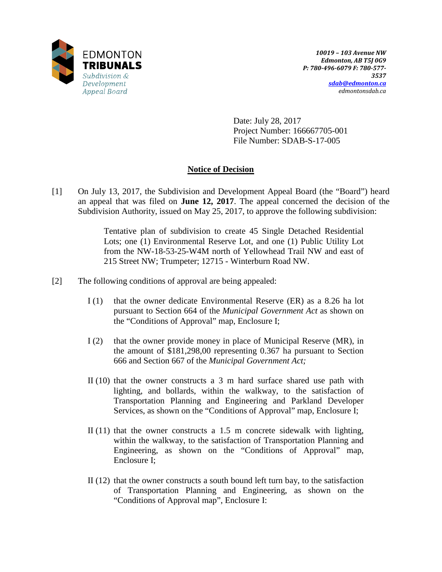

Date: July 28, 2017 Project Number: 166667705-001 File Number: SDAB-S-17-005

# **Notice of Decision**

[1] On July 13, 2017, the Subdivision and Development Appeal Board (the "Board") heard an appeal that was filed on **June 12, 2017**. The appeal concerned the decision of the Subdivision Authority, issued on May 25, 2017, to approve the following subdivision:

> Tentative plan of subdivision to create 45 Single Detached Residential Lots; one (1) Environmental Reserve Lot, and one (1) Public Utility Lot from the NW-18-53-25-W4M north of Yellowhead Trail NW and east of 215 Street NW; Trumpeter; 12715 - Winterburn Road NW.

- [2] The following conditions of approval are being appealed:
	- I (1) that the owner dedicate Environmental Reserve (ER) as a 8.26 ha lot pursuant to Section 664 of the *Municipal Government Act* as shown on the "Conditions of Approval" map, Enclosure I;
	- I (2) that the owner provide money in place of Municipal Reserve (MR), in the amount of \$181,298,00 representing 0.367 ha pursuant to Section 666 and Section 667 of the *Municipal Government Act;*
	- II (10) that the owner constructs a 3 m hard surface shared use path with lighting, and bollards, within the walkway, to the satisfaction of Transportation Planning and Engineering and Parkland Developer Services, as shown on the "Conditions of Approval" map, Enclosure I;
	- II (11) that the owner constructs a 1.5 m concrete sidewalk with lighting, within the walkway, to the satisfaction of Transportation Planning and Engineering, as shown on the "Conditions of Approval" map, Enclosure I;
	- II (12) that the owner constructs a south bound left turn bay, to the satisfaction of Transportation Planning and Engineering, as shown on the "Conditions of Approval map", Enclosure I: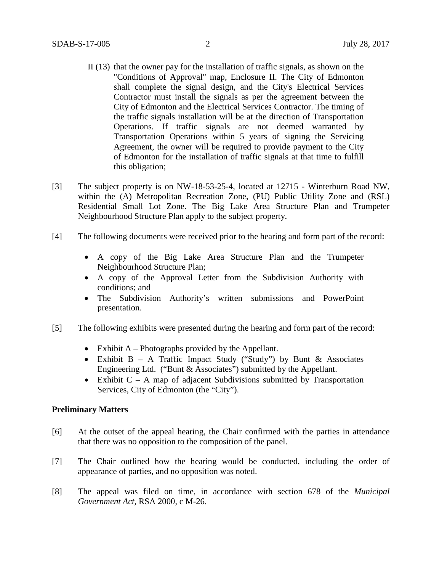- II (13) that the owner pay for the installation of traffic signals, as shown on the "Conditions of Approval" map, Enclosure II. The City of Edmonton shall complete the signal design, and the City's Electrical Services Contractor must install the signals as per the agreement between the City of Edmonton and the Electrical Services Contractor. The timing of the traffic signals installation will be at the direction of Transportation Operations. If traffic signals are not deemed warranted by Transportation Operations within 5 years of signing the Servicing Agreement, the owner will be required to provide payment to the City of Edmonton for the installation of traffic signals at that time to fulfill this obligation;
- [3] The subject property is on NW-18-53-25-4, located at 12715 Winterburn Road NW, within the (A) Metropolitan Recreation Zone, (PU) Public Utility Zone and (RSL) Residential Small Lot Zone. The Big Lake Area Structure Plan and Trumpeter Neighbourhood Structure Plan apply to the subject property.
- [4] The following documents were received prior to the hearing and form part of the record:
	- A copy of the Big Lake Area Structure Plan and the Trumpeter Neighbourhood Structure Plan;
	- A copy of the Approval Letter from the Subdivision Authority with conditions; and
	- The Subdivision Authority's written submissions and PowerPoint presentation.
- [5] The following exhibits were presented during the hearing and form part of the record:
	- Exhibit A Photographs provided by the Appellant.
	- Exhibit B A Traffic Impact Study ("Study") by Bunt & Associates Engineering Ltd. ("Bunt & Associates") submitted by the Appellant.
	- Exhibit  $C A$  map of adjacent Subdivisions submitted by Transportation Services, City of Edmonton (the "City").

### **Preliminary Matters**

- [6] At the outset of the appeal hearing, the Chair confirmed with the parties in attendance that there was no opposition to the composition of the panel.
- [7] The Chair outlined how the hearing would be conducted, including the order of appearance of parties, and no opposition was noted.
- [8] The appeal was filed on time, in accordance with section 678 of the *Municipal Government Act*, RSA 2000, c M-26.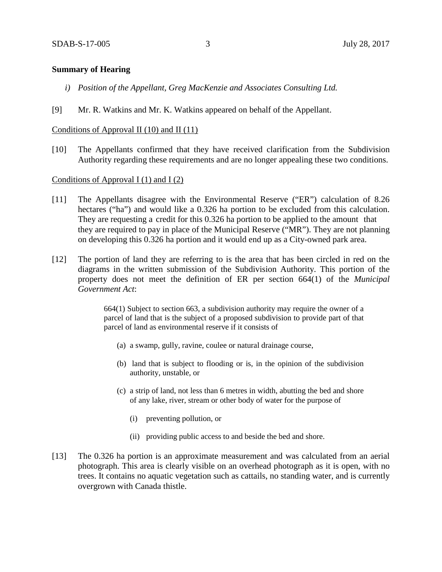## **Summary of Hearing**

- *i) Position of the Appellant, Greg MacKenzie and Associates Consulting Ltd.*
- [9] Mr. R. Watkins and Mr. K. Watkins appeared on behalf of the Appellant.

## Conditions of Approval II (10) and II (11)

[10] The Appellants confirmed that they have received clarification from the Subdivision Authority regarding these requirements and are no longer appealing these two conditions.

### Conditions of Approval I  $(1)$  and I  $(2)$

- [11] The Appellants disagree with the Environmental Reserve ("ER") calculation of 8.26 hectares ("ha") and would like a 0.326 ha portion to be excluded from this calculation. They are requesting a credit for this 0.326 ha portion to be applied to the amount that they are required to pay in place of the Municipal Reserve ("MR"). They are not planning on developing this 0.326 ha portion and it would end up as a City-owned park area.
- [12] The portion of land they are referring to is the area that has been circled in red on the diagrams in the written submission of the Subdivision Authority. This portion of the property does not meet the definition of ER per section 664(1) of the *Municipal Government Act*:

664(1) Subject to section 663, a subdivision authority may require the owner of a parcel of land that is the subject of a proposed subdivision to provide part of that parcel of land as environmental reserve if it consists of

- (a) a swamp, gully, ravine, coulee or natural drainage course,
- (b) land that is subject to flooding or is, in the opinion of the subdivision authority, unstable, or
- (c) a strip of land, not less than 6 metres in width, abutting the bed and shore of any lake, river, stream or other body of water for the purpose of
	- (i) preventing pollution, or
	- (ii) providing public access to and beside the bed and shore.
- [13] The 0.326 ha portion is an approximate measurement and was calculated from an aerial photograph. This area is clearly visible on an overhead photograph as it is open, with no trees. It contains no aquatic vegetation such as cattails, no standing water, and is currently overgrown with Canada thistle.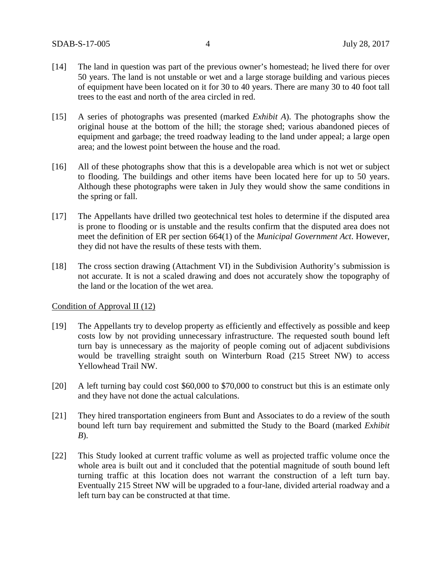- [14] The land in question was part of the previous owner's homestead; he lived there for over 50 years. The land is not unstable or wet and a large storage building and various pieces of equipment have been located on it for 30 to 40 years. There are many 30 to 40 foot tall trees to the east and north of the area circled in red.
- [15] A series of photographs was presented (marked *Exhibit A*). The photographs show the original house at the bottom of the hill; the storage shed; various abandoned pieces of equipment and garbage; the treed roadway leading to the land under appeal; a large open area; and the lowest point between the house and the road.
- [16] All of these photographs show that this is a developable area which is not wet or subject to flooding. The buildings and other items have been located here for up to 50 years. Although these photographs were taken in July they would show the same conditions in the spring or fall.
- [17] The Appellants have drilled two geotechnical test holes to determine if the disputed area is prone to flooding or is unstable and the results confirm that the disputed area does not meet the definition of ER per section 664(1) of the *Municipal Government Act*. However, they did not have the results of these tests with them.
- [18] The cross section drawing (Attachment VI) in the Subdivision Authority's submission is not accurate. It is not a scaled drawing and does not accurately show the topography of the land or the location of the wet area.

## Condition of Approval II (12)

- [19] The Appellants try to develop property as efficiently and effectively as possible and keep costs low by not providing unnecessary infrastructure. The requested south bound left turn bay is unnecessary as the majority of people coming out of adjacent subdivisions would be travelling straight south on Winterburn Road (215 Street NW) to access Yellowhead Trail NW.
- [20] A left turning bay could cost \$60,000 to \$70,000 to construct but this is an estimate only and they have not done the actual calculations.
- [21] They hired transportation engineers from Bunt and Associates to do a review of the south bound left turn bay requirement and submitted the Study to the Board (marked *Exhibit B*).
- [22] This Study looked at current traffic volume as well as projected traffic volume once the whole area is built out and it concluded that the potential magnitude of south bound left turning traffic at this location does not warrant the construction of a left turn bay. Eventually 215 Street NW will be upgraded to a four-lane, divided arterial roadway and a left turn bay can be constructed at that time.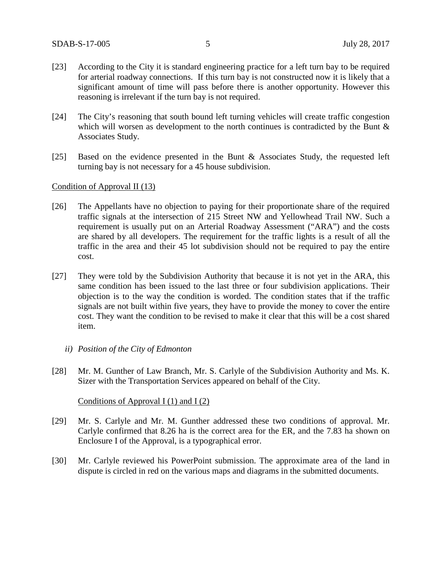- [23] According to the City it is standard engineering practice for a left turn bay to be required for arterial roadway connections. If this turn bay is not constructed now it is likely that a significant amount of time will pass before there is another opportunity. However this reasoning is irrelevant if the turn bay is not required.
- [24] The City's reasoning that south bound left turning vehicles will create traffic congestion which will worsen as development to the north continues is contradicted by the Bunt  $\&$ Associates Study.
- [25] Based on the evidence presented in the Bunt & Associates Study, the requested left turning bay is not necessary for a 45 house subdivision.

#### Condition of Approval II (13)

- [26] The Appellants have no objection to paying for their proportionate share of the required traffic signals at the intersection of 215 Street NW and Yellowhead Trail NW. Such a requirement is usually put on an Arterial Roadway Assessment ("ARA") and the costs are shared by all developers. The requirement for the traffic lights is a result of all the traffic in the area and their 45 lot subdivision should not be required to pay the entire cost.
- [27] They were told by the Subdivision Authority that because it is not yet in the ARA, this same condition has been issued to the last three or four subdivision applications. Their objection is to the way the condition is worded. The condition states that if the traffic signals are not built within five years, they have to provide the money to cover the entire cost. They want the condition to be revised to make it clear that this will be a cost shared item.
	- *ii) Position of the City of Edmonton*
- [28] Mr. M. Gunther of Law Branch, Mr. S. Carlyle of the Subdivision Authority and Ms. K. Sizer with the Transportation Services appeared on behalf of the City.

Conditions of Approval I (1) and I (2)

- [29] Mr. S. Carlyle and Mr. M. Gunther addressed these two conditions of approval. Mr. Carlyle confirmed that 8.26 ha is the correct area for the ER, and the 7.83 ha shown on Enclosure I of the Approval, is a typographical error.
- [30] Mr. Carlyle reviewed his PowerPoint submission. The approximate area of the land in dispute is circled in red on the various maps and diagrams in the submitted documents.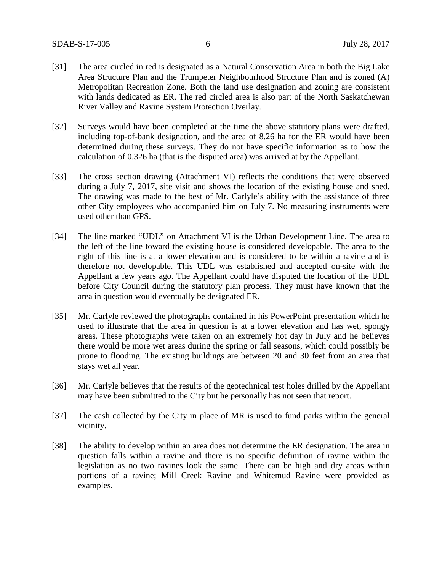- [31] The area circled in red is designated as a Natural Conservation Area in both the Big Lake Area Structure Plan and the Trumpeter Neighbourhood Structure Plan and is zoned (A) Metropolitan Recreation Zone. Both the land use designation and zoning are consistent with lands dedicated as ER. The red circled area is also part of the North Saskatchewan River Valley and Ravine System Protection Overlay.
- [32] Surveys would have been completed at the time the above statutory plans were drafted, including top-of-bank designation, and the area of 8.26 ha for the ER would have been determined during these surveys. They do not have specific information as to how the calculation of 0.326 ha (that is the disputed area) was arrived at by the Appellant.
- [33] The cross section drawing (Attachment VI) reflects the conditions that were observed during a July 7, 2017, site visit and shows the location of the existing house and shed. The drawing was made to the best of Mr. Carlyle's ability with the assistance of three other City employees who accompanied him on July 7. No measuring instruments were used other than GPS.
- [34] The line marked "UDL" on Attachment VI is the Urban Development Line. The area to the left of the line toward the existing house is considered developable. The area to the right of this line is at a lower elevation and is considered to be within a ravine and is therefore not developable. This UDL was established and accepted on-site with the Appellant a few years ago. The Appellant could have disputed the location of the UDL before City Council during the statutory plan process. They must have known that the area in question would eventually be designated ER.
- [35] Mr. Carlyle reviewed the photographs contained in his PowerPoint presentation which he used to illustrate that the area in question is at a lower elevation and has wet, spongy areas. These photographs were taken on an extremely hot day in July and he believes there would be more wet areas during the spring or fall seasons, which could possibly be prone to flooding. The existing buildings are between 20 and 30 feet from an area that stays wet all year.
- [36] Mr. Carlyle believes that the results of the geotechnical test holes drilled by the Appellant may have been submitted to the City but he personally has not seen that report.
- [37] The cash collected by the City in place of MR is used to fund parks within the general vicinity.
- [38] The ability to develop within an area does not determine the ER designation. The area in question falls within a ravine and there is no specific definition of ravine within the legislation as no two ravines look the same. There can be high and dry areas within portions of a ravine; Mill Creek Ravine and Whitemud Ravine were provided as examples.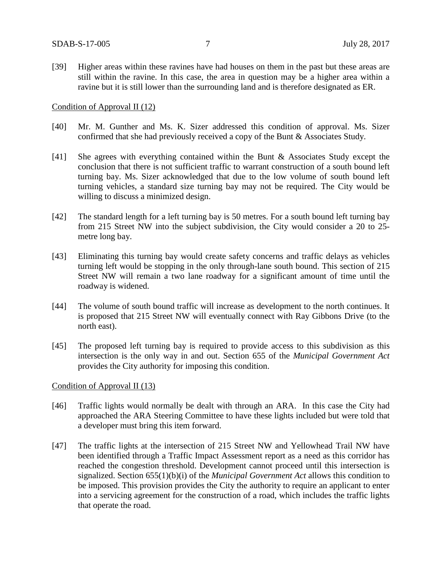[39] Higher areas within these ravines have had houses on them in the past but these areas are still within the ravine. In this case, the area in question may be a higher area within a ravine but it is still lower than the surrounding land and is therefore designated as ER.

#### Condition of Approval II (12)

- [40] Mr. M. Gunther and Ms. K. Sizer addressed this condition of approval. Ms. Sizer confirmed that she had previously received a copy of the Bunt & Associates Study.
- [41] She agrees with everything contained within the Bunt & Associates Study except the conclusion that there is not sufficient traffic to warrant construction of a south bound left turning bay. Ms. Sizer acknowledged that due to the low volume of south bound left turning vehicles, a standard size turning bay may not be required. The City would be willing to discuss a minimized design.
- [42] The standard length for a left turning bay is 50 metres. For a south bound left turning bay from 215 Street NW into the subject subdivision, the City would consider a 20 to 25 metre long bay.
- [43] Eliminating this turning bay would create safety concerns and traffic delays as vehicles turning left would be stopping in the only through-lane south bound. This section of 215 Street NW will remain a two lane roadway for a significant amount of time until the roadway is widened.
- [44] The volume of south bound traffic will increase as development to the north continues. It is proposed that 215 Street NW will eventually connect with Ray Gibbons Drive (to the north east).
- [45] The proposed left turning bay is required to provide access to this subdivision as this intersection is the only way in and out. Section 655 of the *Municipal Government Act* provides the City authority for imposing this condition.

## Condition of Approval II (13)

- [46] Traffic lights would normally be dealt with through an ARA. In this case the City had approached the ARA Steering Committee to have these lights included but were told that a developer must bring this item forward.
- [47] The traffic lights at the intersection of 215 Street NW and Yellowhead Trail NW have been identified through a Traffic Impact Assessment report as a need as this corridor has reached the congestion threshold. Development cannot proceed until this intersection is signalized. Section 655(1)(b)(i) of the *Municipal Government Act* allows this condition to be imposed. This provision provides the City the authority to require an applicant to enter into a servicing agreement for the construction of a road, which includes the traffic lights that operate the road.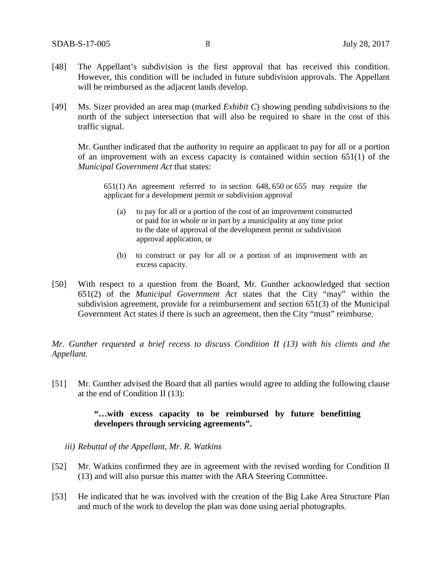- [48] The Appellant's subdivision is the first approval that has received this condition. However, this condition will be included in future subdivision approvals. The Appellant will be reimbursed as the adjacent lands develop.
- [49] Ms. Sizer provided an area map (marked *Exhibit C*) showing pending subdivisions to the north of the subject intersection that will also be required to share in the cost of this traffic signal.

Mr. Gunther indicated that the authority to require an applicant to pay for all or a portion of an improvement with an excess capacity is contained within section 651(1) of the *Municipal Government Act* that states:

651(1) An agreement referred to in [section 648,](https://www.canlii.org/en/ab/laws/stat/rsa-2000-c-m-26/latest/rsa-2000-c-m-26.html%23sec648_smooth) [650](https://www.canlii.org/en/ab/laws/stat/rsa-2000-c-m-26/latest/rsa-2000-c-m-26.html%23sec650_smooth) or [655](https://www.canlii.org/en/ab/laws/stat/rsa-2000-c-m-26/latest/rsa-2000-c-m-26.html%23sec655_smooth) may require the applicant for a development permit or subdivision approval

- (a) to pay for all or a portion of the cost of an improvement constructed or paid for in whole or in part by a municipality at any time prior to the date of approval of the development permit or subdivision approval application, or
- (b) to construct or pay for all or a portion of an improvement with an excess capacity.
- [50] With respect to a question from the Board, Mr. Gunther acknowledged that section 651(2) of the *Municipal Government Act* states that the City "may" within the subdivision agreement, provide for a reimbursement and section 651(3) of the Municipal Government Act states if there is such an agreement, then the City "must" reimburse.

*Mr. Gunther requested a brief recess to discuss Condition II (13) with his clients and the Appellant.*

[51] Mr. Gunther advised the Board that all parties would agree to adding the following clause at the end of Condition II (13):

## **"…with excess capacity to be reimbursed by future benefitting developers through servicing agreements".**

- *iii) Rebuttal of the Appellant, Mr. R. Watkins*
- [52] Mr. Watkins confirmed they are in agreement with the revised wording for Condition II (13) and will also pursue this matter with the ARA Steering Committee.
- [53] He indicated that he was involved with the creation of the Big Lake Area Structure Plan and much of the work to develop the plan was done using aerial photographs.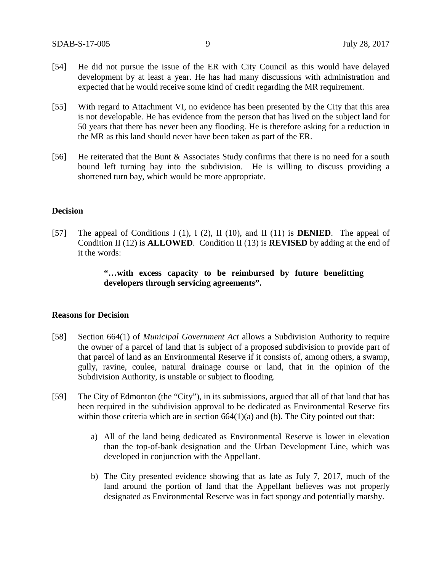- [54] He did not pursue the issue of the ER with City Council as this would have delayed development by at least a year. He has had many discussions with administration and expected that he would receive some kind of credit regarding the MR requirement.
- [55] With regard to Attachment VI, no evidence has been presented by the City that this area is not developable. He has evidence from the person that has lived on the subject land for 50 years that there has never been any flooding. He is therefore asking for a reduction in the MR as this land should never have been taken as part of the ER.
- [56] He reiterated that the Bunt & Associates Study confirms that there is no need for a south bound left turning bay into the subdivision. He is willing to discuss providing a shortened turn bay, which would be more appropriate.

#### **Decision**

[57] The appeal of Conditions I (1), I (2), II (10), and II (11) is **DENIED**. The appeal of Condition II (12) is **ALLOWED**. Condition II (13) is **REVISED** by adding at the end of it the words:

## **"…with excess capacity to be reimbursed by future benefitting developers through servicing agreements".**

#### **Reasons for Decision**

- [58] Section 664(1) of *Municipal Government Act* allows a Subdivision Authority to require the owner of a parcel of land that is subject of a proposed subdivision to provide part of that parcel of land as an Environmental Reserve if it consists of, among others, a swamp, gully, ravine, coulee, natural drainage course or land, that in the opinion of the Subdivision Authority, is unstable or subject to flooding.
- [59] The City of Edmonton (the "City"), in its submissions, argued that all of that land that has been required in the subdivision approval to be dedicated as Environmental Reserve fits within those criteria which are in section  $664(1)(a)$  and (b). The City pointed out that:
	- a) All of the land being dedicated as Environmental Reserve is lower in elevation than the top-of-bank designation and the Urban Development Line, which was developed in conjunction with the Appellant.
	- b) The City presented evidence showing that as late as July 7, 2017, much of the land around the portion of land that the Appellant believes was not properly designated as Environmental Reserve was in fact spongy and potentially marshy.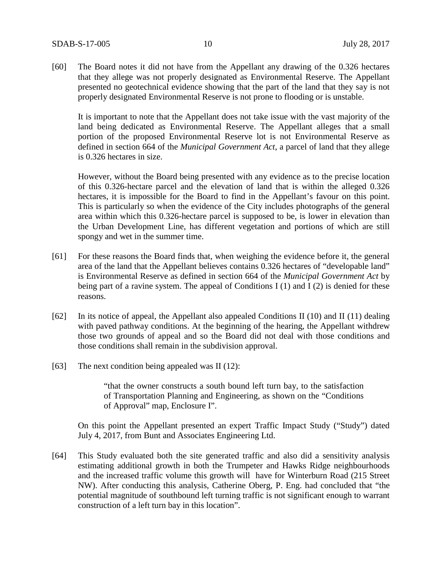[60] The Board notes it did not have from the Appellant any drawing of the 0.326 hectares that they allege was not properly designated as Environmental Reserve. The Appellant presented no geotechnical evidence showing that the part of the land that they say is not properly designated Environmental Reserve is not prone to flooding or is unstable.

It is important to note that the Appellant does not take issue with the vast majority of the land being dedicated as Environmental Reserve. The Appellant alleges that a small portion of the proposed Environmental Reserve lot is not Environmental Reserve as defined in section 664 of the *Municipal Government Act*, a parcel of land that they allege is 0.326 hectares in size.

However, without the Board being presented with any evidence as to the precise location of this 0.326-hectare parcel and the elevation of land that is within the alleged 0.326 hectares, it is impossible for the Board to find in the Appellant's favour on this point. This is particularly so when the evidence of the City includes photographs of the general area within which this 0.326-hectare parcel is supposed to be, is lower in elevation than the Urban Development Line, has different vegetation and portions of which are still spongy and wet in the summer time.

- [61] For these reasons the Board finds that, when weighing the evidence before it, the general area of the land that the Appellant believes contains 0.326 hectares of "developable land" is Environmental Reserve as defined in section 664 of the *Municipal Government Act* by being part of a ravine system. The appeal of Conditions I  $(1)$  and I  $(2)$  is denied for these reasons.
- [62] In its notice of appeal, the Appellant also appealed Conditions II (10) and II (11) dealing with paved pathway conditions. At the beginning of the hearing, the Appellant withdrew those two grounds of appeal and so the Board did not deal with those conditions and those conditions shall remain in the subdivision approval.
- [63] The next condition being appealed was II (12):

"that the owner constructs a south bound left turn bay, to the satisfaction of Transportation Planning and Engineering, as shown on the "Conditions of Approval" map, Enclosure I".

On this point the Appellant presented an expert Traffic Impact Study ("Study") dated July 4, 2017, from Bunt and Associates Engineering Ltd.

[64] This Study evaluated both the site generated traffic and also did a sensitivity analysis estimating additional growth in both the Trumpeter and Hawks Ridge neighbourhoods and the increased traffic volume this growth will have for Winterburn Road (215 Street NW). After conducting this analysis, Catherine Oberg, P. Eng. had concluded that "the potential magnitude of southbound left turning traffic is not significant enough to warrant construction of a left turn bay in this location".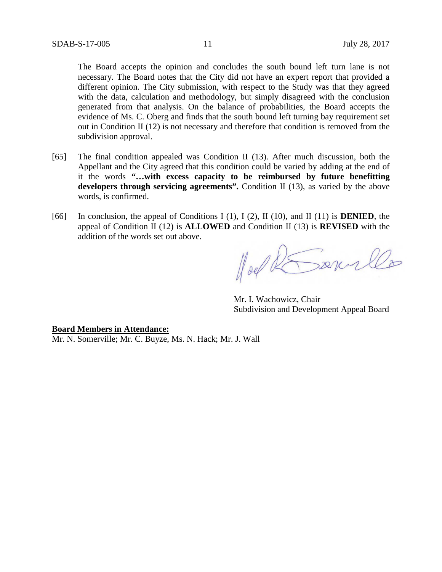The Board accepts the opinion and concludes the south bound left turn lane is not necessary. The Board notes that the City did not have an expert report that provided a different opinion. The City submission, with respect to the Study was that they agreed with the data, calculation and methodology, but simply disagreed with the conclusion generated from that analysis. On the balance of probabilities, the Board accepts the evidence of Ms. C. Oberg and finds that the south bound left turning bay requirement set out in Condition II (12) is not necessary and therefore that condition is removed from the subdivision approval.

- [65] The final condition appealed was Condition II (13). After much discussion, both the Appellant and the City agreed that this condition could be varied by adding at the end of it the words **"…with excess capacity to be reimbursed by future benefitting developers through servicing agreements".** Condition II (13), as varied by the above words, is confirmed.
- [66] In conclusion, the appeal of Conditions I (1), I (2), II (10), and II (11) is **DENIED**, the appeal of Condition II (12) is **ALLOWED** and Condition II (13) is **REVISED** with the addition of the words set out above.

Hoel REserve

Mr. I. Wachowicz, Chair Subdivision and Development Appeal Board

**Board Members in Attendance:** Mr. N. Somerville; Mr. C. Buyze, Ms. N. Hack; Mr. J. Wall